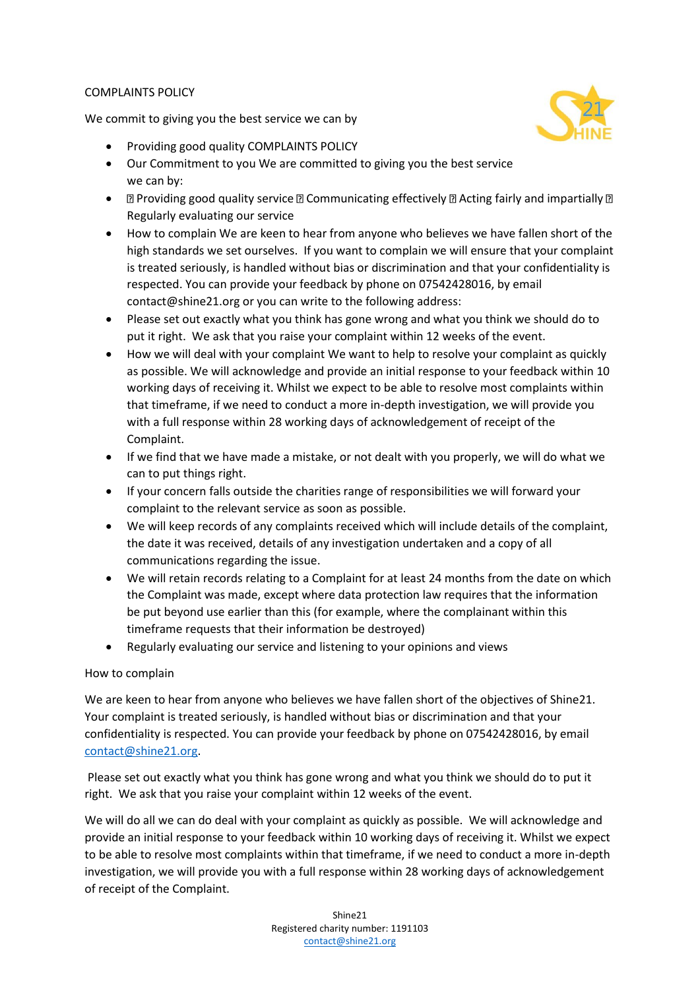## COMPLAINTS POLICY

We commit to giving you the best service we can by



- Providing good quality COMPLAINTS POLICY
- Our Commitment to you We are committed to giving you the best service we can by:
- $\Box$  Providing good quality service  $\Box$  Communicating effectively  $\Box$  Acting fairly and impartially  $\Box$ Regularly evaluating our service
- How to complain We are keen to hear from anyone who believes we have fallen short of the high standards we set ourselves. If you want to complain we will ensure that your complaint is treated seriously, is handled without bias or discrimination and that your confidentiality is respected. You can provide your feedback by phone on 07542428016, by email contact@shine21.org or you can write to the following address:
- Please set out exactly what you think has gone wrong and what you think we should do to put it right. We ask that you raise your complaint within 12 weeks of the event.
- How we will deal with your complaint We want to help to resolve your complaint as quickly as possible. We will acknowledge and provide an initial response to your feedback within 10 working days of receiving it. Whilst we expect to be able to resolve most complaints within that timeframe, if we need to conduct a more in-depth investigation, we will provide you with a full response within 28 working days of acknowledgement of receipt of the Complaint.
- If we find that we have made a mistake, or not dealt with you properly, we will do what we can to put things right.
- If your concern falls outside the charities range of responsibilities we will forward your complaint to the relevant service as soon as possible.
- We will keep records of any complaints received which will include details of the complaint, the date it was received, details of any investigation undertaken and a copy of all communications regarding the issue.
- We will retain records relating to a Complaint for at least 24 months from the date on which the Complaint was made, except where data protection law requires that the information be put beyond use earlier than this (for example, where the complainant within this timeframe requests that their information be destroyed)
- Regularly evaluating our service and listening to your opinions and views

## How to complain

We are keen to hear from anyone who believes we have fallen short of the objectives of Shine21. Your complaint is treated seriously, is handled without bias or discrimination and that your confidentiality is respected. You can provide your feedback by phone on 07542428016, by email [contact@shine21.org.](mailto:contact@shine21.org)

Please set out exactly what you think has gone wrong and what you think we should do to put it right. We ask that you raise your complaint within 12 weeks of the event.

We will do all we can do deal with your complaint as quickly as possible. We will acknowledge and provide an initial response to your feedback within 10 working days of receiving it. Whilst we expect to be able to resolve most complaints within that timeframe, if we need to conduct a more in-depth investigation, we will provide you with a full response within 28 working days of acknowledgement of receipt of the Complaint.